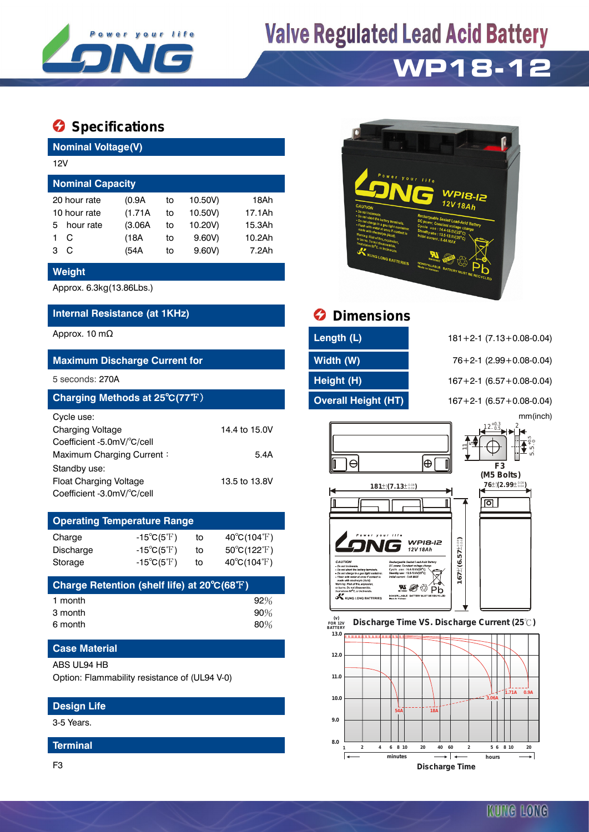

# **Valve Regulated Lead Acid Battery**

## **WP18-12**

### **Specifications**

| <b>Nominal Voltage(V)</b> |              |         |    |         |        |  |  |  |  |
|---------------------------|--------------|---------|----|---------|--------|--|--|--|--|
|                           | 12V          |         |    |         |        |  |  |  |  |
| <b>Nominal Capacity</b>   |              |         |    |         |        |  |  |  |  |
|                           | 20 hour rate | (0.9A   | to | 10.50V) | 18Ah   |  |  |  |  |
| 10 hour rate              |              | (1.71A) | to | 10.50V) | 17.1Ah |  |  |  |  |
| 5.                        | hour rate    | (3.06A) | to | 10.20V) | 15.3Ah |  |  |  |  |
|                           | C            | (18A    | to | 9.60V   | 10.2Ah |  |  |  |  |
| з                         | С            | (54A    | to | 9.60V   | 7.2Ah  |  |  |  |  |

#### **Weight**

Approx. 6.3kg(13.86Lbs.)

#### **Internal Resistance (at 1KHz) Dimensions**

#### **Maximum Discharge Current for Width (W)** 76+2-1 (2.99+0.08-0.04)

| Charging Methods at 25°C(77°F) |               |
|--------------------------------|---------------|
| Cycle use:                     |               |
| <b>Charging Voltage</b>        | 14.4 to 15.0V |
| Coefficient -5.0mV/°C/cell     |               |
| Maximum Charging Current:      | 5.4A          |
| Standby use:                   |               |
| <b>Float Charging Voltage</b>  | 13.5 to 13.8V |
| Coefficient -3.0mV/°C/cell     |               |

### **Operating Temperature Range**

| Charge    | -15 $^{\circ}$ C(5 $^{\circ}$ F) | to | $40^{\circ}$ C(104 $^{\circ}$ F) |
|-----------|----------------------------------|----|----------------------------------|
| Discharge | $-15^{\circ}C(5^{\circ}F)$       | to | $50^{\circ}C(122^{\circ}F)$      |
| Storage   | $-15^{\circ}C(5^{\circ}F)$       | to | $40^{\circ}$ C(104 $^{\circ}$ F) |

| Charge Retention (shelf life) at 20°C(68°F) |        |
|---------------------------------------------|--------|
| 1 month                                     | $92\%$ |
| 3 month                                     | 90%    |
| 6 month                                     | 80%    |

#### **Case Material**

#### ABS UL94 HB

Option: Flammability resistance of (UL94 V-0)

#### **Design Life**

3-5 Years.

#### **Terminal**

F3



| Approx. 10 m $\Omega$                | Length (L)                 | $181 + 2 - 1$ (7.13 + 0.08 - 0.04) |  |  |
|--------------------------------------|----------------------------|------------------------------------|--|--|
| <b>Maximum Discharge Current for</b> | Width (W)                  | $76+2-1$ (2.99 + 0.08-0.04)        |  |  |
| 5 seconds: 270A                      | Height (H)                 | $167 + 2 - 1$ (6.57 + 0.08-0.04)   |  |  |
| Charging Methods at 25°C(77°F)       | <b>Overall Height (HT)</b> | $167 + 2 - 1$ (6.57 + 0.08-0.04)   |  |  |

5 seconds: 270A **Height (H)** 167+2-1 (6.57+0.08-0.04) **Charging Methods at 25**℃**(77**℉) **Overall Height (HT)** 167+2-1 (6.57+0.08-0.04) mm(inch)